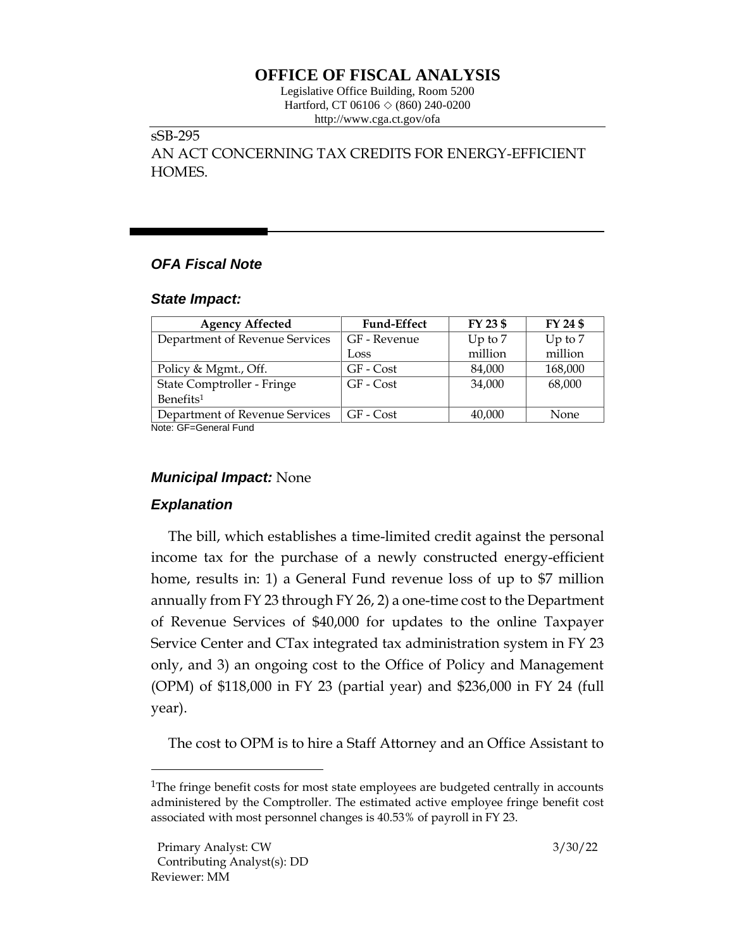# **OFFICE OF FISCAL ANALYSIS**

Legislative Office Building, Room 5200 Hartford, CT 06106  $\Diamond$  (860) 240-0200 http://www.cga.ct.gov/ofa

## sSB-295

AN ACT CONCERNING TAX CREDITS FOR ENERGY-EFFICIENT HOMES.

# *OFA Fiscal Note*

#### *State Impact:*

| <b>Agency Affected</b>         | <b>Fund-Effect</b> | FY 23 \$  | FY 24 \$  |
|--------------------------------|--------------------|-----------|-----------|
| Department of Revenue Services | GF - Revenue       | Up to $7$ | Up to $7$ |
|                                | Loss               | million   | million   |
| Policy & Mgmt., Off.           | GF - Cost          | 84,000    | 168,000   |
| State Comptroller - Fringe     | GF - Cost          | 34,000    | 68,000    |
| Benefits <sup>1</sup>          |                    |           |           |
| Department of Revenue Services | GF - Cost          | 40,000    | None      |

Note: GF=General Fund

## *Municipal Impact:* None

## *Explanation*

The bill, which establishes a time-limited credit against the personal income tax for the purchase of a newly constructed energy-efficient home, results in: 1) a General Fund revenue loss of up to \$7 million annually from FY 23 through FY 26, 2) a one-time cost to the Department of Revenue Services of \$40,000 for updates to the online Taxpayer Service Center and CTax integrated tax administration system in FY 23 only, and 3) an ongoing cost to the Office of Policy and Management (OPM) of \$118,000 in FY 23 (partial year) and \$236,000 in FY 24 (full year).

The cost to OPM is to hire a Staff Attorney and an Office Assistant to

<sup>&</sup>lt;sup>1</sup>The fringe benefit costs for most state employees are budgeted centrally in accounts administered by the Comptroller. The estimated active employee fringe benefit cost associated with most personnel changes is 40.53% of payroll in FY 23.